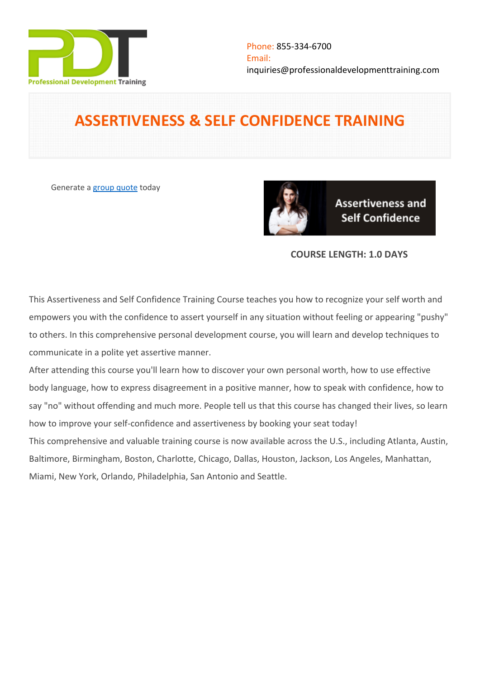

# **ASSERTIVENESS & SELF CONFIDENCE TRAINING**

Generate a [group quote](https://professionaldevelopmenttraining.com/inhouse-training-quote?cse=PDT0003) today



**Assertiveness and Self Confidence** 

# **COURSE LENGTH: 1.0 DAYS**

This Assertiveness and Self Confidence Training Course teaches you how to recognize your self worth and empowers you with the confidence to assert yourself in any situation without feeling or appearing "pushy" to others. In this comprehensive personal development course, you will learn and develop techniques to communicate in a polite yet assertive manner.

After attending this course you'll learn how to discover your own personal worth, how to use effective body language, how to express disagreement in a positive manner, how to speak with confidence, how to say "no" without offending and much more. People tell us that this course has changed their lives, so learn how to improve your self-confidence and assertiveness by booking your seat today!

This comprehensive and valuable training course is now available across the U.S., including Atlanta, Austin, Baltimore, Birmingham, Boston, Charlotte, Chicago, Dallas, Houston, Jackson, Los Angeles, Manhattan, Miami, New York, Orlando, Philadelphia, San Antonio and Seattle.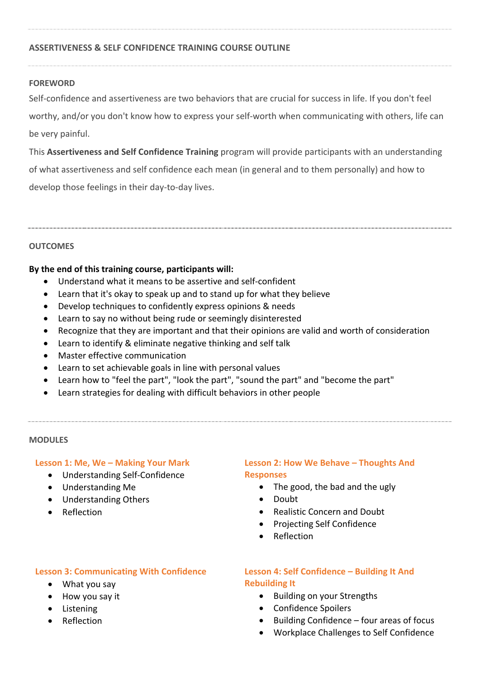## **ASSERTIVENESS & SELF CONFIDENCE TRAINING COURSE OUTLINE**

#### **FOREWORD**

Self-confidence and assertiveness are two behaviors that are crucial for success in life. If you don't feel worthy, and/or you don't know how to express your self-worth when communicating with others, life can be very painful.

This **Assertiveness and Self Confidence Training** program will provide participants with an understanding of what assertiveness and self confidence each mean (in general and to them personally) and how to develop those feelings in their day-to-day lives.

#### **OUTCOMES**

#### **By the end of this training course, participants will:**

- Understand what it means to be assertive and self-confident
- Learn that it's okay to speak up and to stand up for what they believe
- Develop techniques to confidently express opinions & needs
- Learn to say no without being rude or seemingly disinterested
- Recognize that they are important and that their opinions are valid and worth of consideration
- Learn to identify & eliminate negative thinking and self talk
- Master effective communication
- Learn to set achievable goals in line with personal values
- Learn how to "feel the part", "look the part", "sound the part" and "become the part"
- Learn strategies for dealing with difficult behaviors in other people

#### **MODULES**

#### **Lesson 1: Me, We – Making Your Mark**

- Understanding Self-Confidence
- Understanding Me
- Understanding Others
- Reflection

# **Lesson 3: Communicating With Confidence**

- What you say
- How you say it
- Listening
- Reflection

## **Lesson 2: How We Behave – Thoughts And Responses**

- The good, the bad and the ugly
- Doubt
- Realistic Concern and Doubt
- Projecting Self Confidence
- Reflection

# **Lesson 4: Self Confidence – Building It And Rebuilding It**

- **•** Building on your Strengths
- Confidence Spoilers
- $\bullet$  Building Confidence four areas of focus
- Workplace Challenges to Self Confidence